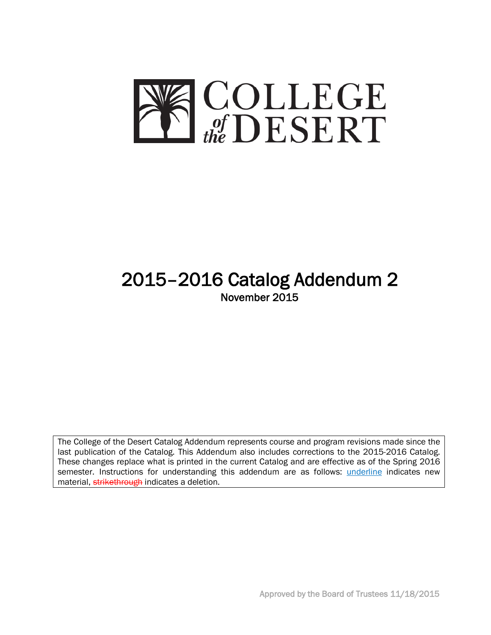

# 2015–2016 Catalog Addendum 2 November 2015

The College of the Desert Catalog Addendum represents course and program revisions made since the last publication of the Catalog. This Addendum also includes corrections to the 2015-2016 Catalog. These changes replace what is printed in the current Catalog and are effective as of the Spring 2016 semester. Instructions for understanding this addendum are as follows: *underline* indicates new material, strikethrough indicates a deletion.

Approved by the Board of Trustees 11/18/2015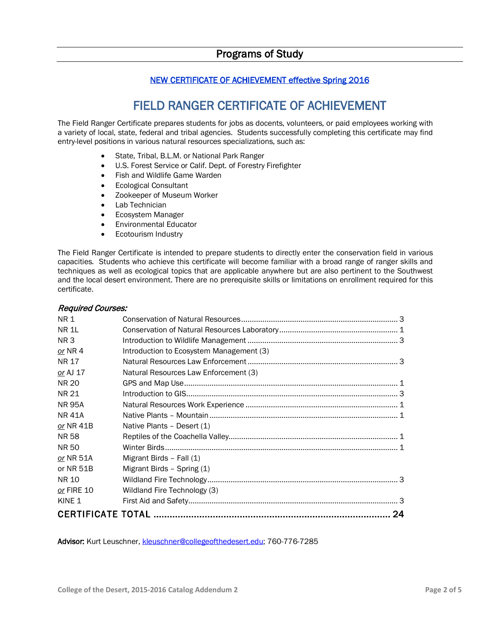# NEW CERTIFICATE OF ACHIEVEMENT effective Spring 2016

# FIELD RANGER CERTIFICATE OF ACHIEVEMENT

The Field Ranger Certificate prepares students for jobs as docents, volunteers, or paid employees working with a variety of local, state, federal and tribal agencies. Students successfully completing this certificate may find entry-level positions in various natural resources specializations, such as:

- State, Tribal, B.L.M. or National Park Ranger
- U.S. Forest Service or Calif. Dept. of Forestry Firefighter
- Fish and Wildlife Game Warden
- Ecological Consultant
- Zookeeper of Museum Worker
- Lab Technician
- Ecosystem Manager
- Environmental Educator
- Ecotourism Industry

The Field Ranger Certificate is intended to prepare students to directly enter the conservation field in various capacities. Students who achieve this certificate will become familiar with a broad range of ranger skills and techniques as well as ecological topics that are applicable anywhere but are also pertinent to the Southwest and the local desert environment. There are no prerequisite skills or limitations on enrollment required for this certificate.

#### Required Courses:

|                   |                                          | 24 |
|-------------------|------------------------------------------|----|
| KINE <sub>1</sub> |                                          |    |
| or FIRE 10        | Wildland Fire Technology (3)             |    |
| NR 10             |                                          |    |
| or NR 51B         | Migrant Birds - Spring (1)               |    |
| or NR 51A         | Migrant Birds - Fall (1)                 |    |
| NR 50             |                                          |    |
| NR 58             |                                          |    |
| or NR 41B         | Native Plants - Desert (1)               |    |
| NR 41A            |                                          |    |
| <b>NR 95A</b>     |                                          |    |
| NR 21             |                                          |    |
| <b>NR 20</b>      |                                          |    |
| or AJ 17          | Natural Resources Law Enforcement (3)    |    |
| NR 17             |                                          |    |
| or NR 4           | Introduction to Ecosystem Management (3) |    |
| NR <sub>3</sub>   |                                          |    |
| NR 1L             |                                          |    |
| <b>NR1</b>        |                                          |    |
|                   |                                          |    |

Advisor: Kurt Leuschner[, kleuschner@collegeofthedesert.edu;](mailto:kleuschner@collegeofthedesert.edu) 760-776-7285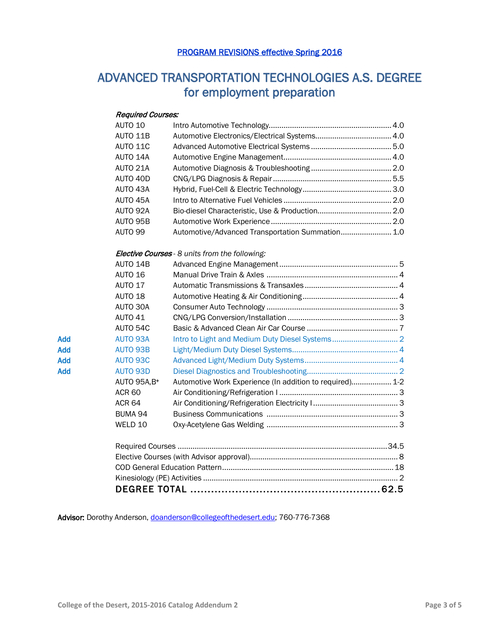# PROGRAM REVISIONS effective Spring 2016

# ADVANCED TRANSPORTATION TECHNOLOGIES A.S. DEGREE for employment preparation

### Required Courses:

|     | AUTO 10             |                                                          |  |  |  |
|-----|---------------------|----------------------------------------------------------|--|--|--|
|     | AUTO 11B            |                                                          |  |  |  |
|     | AUTO 11C            |                                                          |  |  |  |
|     | AUTO 14A            |                                                          |  |  |  |
|     | AUTO 21A            |                                                          |  |  |  |
|     | AUTO 40D            |                                                          |  |  |  |
|     | AUTO 43A            |                                                          |  |  |  |
|     | AUTO 45A            |                                                          |  |  |  |
|     | AUTO 92A            |                                                          |  |  |  |
|     | AUTO 95B            |                                                          |  |  |  |
|     | <b>AUTO 99</b>      | Automotive/Advanced Transportation Summation 1.0         |  |  |  |
|     |                     | Elective Courses - 8 units from the following:           |  |  |  |
|     | AUTO 14B            |                                                          |  |  |  |
|     | AUTO 16             |                                                          |  |  |  |
|     | AUTO 17             |                                                          |  |  |  |
|     | AUTO 18             |                                                          |  |  |  |
|     | AUTO 30A            |                                                          |  |  |  |
|     | <b>AUTO 41</b>      |                                                          |  |  |  |
|     | AUTO 54C            |                                                          |  |  |  |
| Add | <b>AUTO 93A</b>     |                                                          |  |  |  |
| Add | <b>AUTO 93B</b>     |                                                          |  |  |  |
| Add | <b>AUTO 93C</b>     |                                                          |  |  |  |
| Add | <b>AUTO 93D</b>     |                                                          |  |  |  |
|     | <b>AUTO 95A, B+</b> | Automotive Work Experience (In addition to required) 1-2 |  |  |  |
|     | <b>ACR 60</b>       |                                                          |  |  |  |
|     | <b>ACR 64</b>       |                                                          |  |  |  |
|     | BUMA 94             |                                                          |  |  |  |
|     | WELD 10             |                                                          |  |  |  |
|     |                     |                                                          |  |  |  |
|     |                     |                                                          |  |  |  |
|     |                     |                                                          |  |  |  |
|     |                     |                                                          |  |  |  |
|     |                     |                                                          |  |  |  |
|     |                     |                                                          |  |  |  |

Advisor: Dorothy Anderson, [doanderson@collegeofthedesert.edu;](mailto:doanderson@collegeofthedesert.edu) 760-776-7368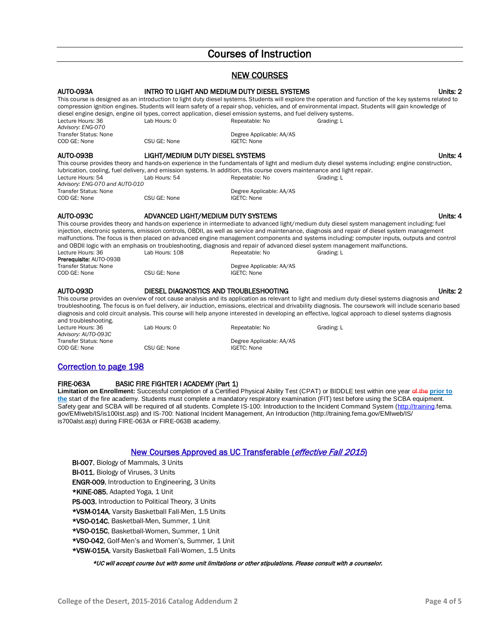# Courses of Instruction

# NEW COURSES AUTO-093A INTRO TO LIGHT AND MEDIUM DUTY DIESEL SYSTEMS Units: 2

|                                                   | diesel engine design, engine oil types, correct application, diesel emission systems, and fuel delivery systems.         |                                         | This course is designed as an introduction to light duty diesel systems. Students will explore the operation and function of the key systems related to<br>compression ignition engines. Students will learn safety of a repair shop, vehicles, and of environmental impact. Students will gain knowledge of |          |
|---------------------------------------------------|--------------------------------------------------------------------------------------------------------------------------|-----------------------------------------|--------------------------------------------------------------------------------------------------------------------------------------------------------------------------------------------------------------------------------------------------------------------------------------------------------------|----------|
| Lecture Hours: 36                                 | Lab Hours: 0                                                                                                             | Repeatable: No                          | Grading: L                                                                                                                                                                                                                                                                                                   |          |
| Advisory: ENG-070<br><b>Transfer Status: None</b> |                                                                                                                          | Degree Applicable: AA/AS                |                                                                                                                                                                                                                                                                                                              |          |
| COD GE: None                                      | CSU GE: None                                                                                                             | <b>IGETC: None</b>                      |                                                                                                                                                                                                                                                                                                              |          |
| AUTO-093B                                         | LIGHT/MEDIUM DUTY DIESEL SYSTEMS                                                                                         |                                         |                                                                                                                                                                                                                                                                                                              | Units: 4 |
|                                                   |                                                                                                                          |                                         | This course provides theory and hands-on experience in the fundamentals of light and medium duty diesel systems including: engine construction,                                                                                                                                                              |          |
|                                                   | lubrication, cooling, fuel delivery, and emission systems. In addition, this course covers maintenance and light repair. |                                         |                                                                                                                                                                                                                                                                                                              |          |
| Lecture Hours: 54                                 | Lab Hours: 54                                                                                                            | Repeatable: No                          | Grading: L                                                                                                                                                                                                                                                                                                   |          |
| Advisory: ENG-070 and AUTO-010                    |                                                                                                                          |                                         |                                                                                                                                                                                                                                                                                                              |          |
| <b>Transfer Status: None</b>                      | CSU GE: None                                                                                                             | Degree Applicable: AA/AS<br>IGETC: None |                                                                                                                                                                                                                                                                                                              |          |
| COD GE: None                                      |                                                                                                                          |                                         |                                                                                                                                                                                                                                                                                                              |          |
| <b>AUTO-093C</b>                                  | ADVANCED LIGHT/MEDIUM DUTY SYSTEMS                                                                                       |                                         |                                                                                                                                                                                                                                                                                                              | Units: 4 |
|                                                   |                                                                                                                          |                                         | This course provides theory and hands-on experience in intermediate to advanced light/medium duty diesel system management including: fuel                                                                                                                                                                   |          |
|                                                   |                                                                                                                          |                                         | injection, electronic systems, emission controls, OBDII, as well as service and maintenance, diagnosis and repair of diesel system management                                                                                                                                                                |          |
|                                                   |                                                                                                                          |                                         | malfunctions. The focus is then placed on advanced engine management components and systems including: computer inputs, outputs and control<br>and OBDII logic with an emphasis on troubleshooting, diagnosis and repair of advanced diesel system management malfunctions.                                  |          |
| Lecture Hours: 36                                 | Lab Hours: 108                                                                                                           | Repeatable: No                          | Grading: L                                                                                                                                                                                                                                                                                                   |          |
| Prerequisite: AUTO-093B                           |                                                                                                                          |                                         |                                                                                                                                                                                                                                                                                                              |          |
| <b>Transfer Status: None</b>                      |                                                                                                                          | Degree Applicable: AA/AS                |                                                                                                                                                                                                                                                                                                              |          |
| COD GE: None                                      | CSU GE: None                                                                                                             | <b>IGETC: None</b>                      |                                                                                                                                                                                                                                                                                                              |          |
| AUTO-093D                                         | DIESEL DIAGNOSTICS AND TROUBLESHOOTING                                                                                   |                                         |                                                                                                                                                                                                                                                                                                              | Units: 2 |
|                                                   |                                                                                                                          |                                         | This course provides an overview of root cause analysis and its application as relevant to light and medium duty diesel systems diagnosis and                                                                                                                                                                |          |
|                                                   |                                                                                                                          |                                         | troubleshooting. The focus is on fuel delivery, air induction, emissions, electrical and drivability diagnosis. The coursework will include scenario based                                                                                                                                                   |          |

diagnosis and cold circuit analysis. This course will help anyone interested in developing an effective, logical approach to diesel systems diagnosis and troubleshooting. Lecture Hours: 36 **Lab Hours: 0** Repeatable: No Grading: L *Advisory: AUTO-093C* Transfer Status: None <br>
CSU GE: None CSU GE: None Degree Applicable: AA/AS<br>
COD GE: None CSU GE: None Degree Applicable: None CSU GE: None

## Correction to page 198

#### FIRE-063A BASIC FIRE FIGHTER I ACADEMY (Part 1)

**Limitation on Enrollment:** Successful completion of a Certified Physical Ability Test (CPAT) or BIDDLE test within one year of the **prior to the** start of the fire academy. Students must complete a mandatory respiratory examination (FIT) test before using the SCBA equipment. Safety gear and SCBA will be required of all students. Complete IS-100: Introduction to the Incident Command System [\(http://training.f](http://training/)ema. gov/EMIweb/IS/is100Ist.asp) and IS-700: National Incident Management, An Introduction (http://training.fema.gov/EMIweb/IS/ is700alst.asp) during FIRE-063A or FIRE-063B academy.

#### New Courses Approved as UC Transferable (effective Fall 2015)

- **BI-007**, Biology of Mammals, 3 Units
- BI-011, Biology of Viruses, 3 Units
- ENGR-009, Introduction to Engineering, 3 Units
- \*KINE-085, Adapted Yoga, 1 Unit
- PS-003, Introduction to Political Theory, 3 Units
- \*VSM-014A, Varsity Basketball Fall-Men, 1.5 Units
- \*VSO-014C, Basketball-Men, Summer, 1 Unit
- \*VSO-015C, Basketball-Women, Summer, 1 Unit
- \*VSO-042, Golf-Men's and Women's, Summer, 1 Unit
- \*VSW-015A, Varsity Basketball Fall-Women, 1.5 Units

#### \*UC will accept course but with some unit limitations or other stipulations. Please consult with a counselor.